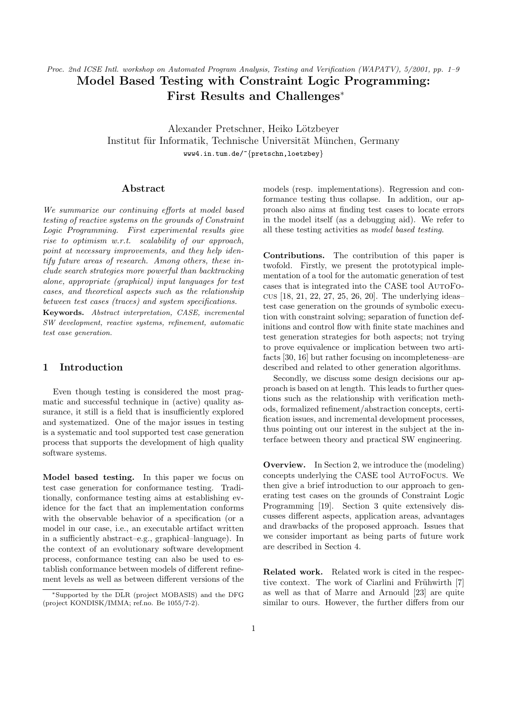# Proc. 2nd ICSE Intl. workshop on Automated Program Analysis, Testing and Verification (WAPATV), 5/2001, pp. 1–9 Model Based Testing with Constraint Logic Programming: First Results and Challenges<sup>∗</sup>

Alexander Pretschner, Heiko Lötzbever Institut für Informatik, Technische Universität München, Germany www4.in.tum.de/~{pretschn,loetzbey}

### Abstract

We summarize our continuing efforts at model based testing of reactive systems on the grounds of Constraint Logic Programming. First experimental results give rise to optimism w.r.t. scalability of our approach, point at necessary improvements, and they help identify future areas of research. Among others, these include search strategies more powerful than backtracking alone, appropriate (graphical) input languages for test cases, and theoretical aspects such as the relationship between test cases (traces) and system specifications.

Keywords. Abstract interpretation, CASE, incremental SW development, reactive systems, refinement, automatic test case generation.

## 1 Introduction

Even though testing is considered the most pragmatic and successful technique in (active) quality assurance, it still is a field that is insufficiently explored and systematized. One of the major issues in testing is a systematic and tool supported test case generation process that supports the development of high quality software systems.

Model based testing. In this paper we focus on test case generation for conformance testing. Traditionally, conformance testing aims at establishing evidence for the fact that an implementation conforms with the observable behavior of a specification (or a model in our case, i.e., an executable artifact written in a sufficiently abstract–e.g., graphical–language). In the context of an evolutionary software development process, conformance testing can also be used to establish conformance between models of different refinement levels as well as between different versions of the models (resp. implementations). Regression and conformance testing thus collapse. In addition, our approach also aims at finding test cases to locate errors in the model itself (as a debugging aid). We refer to all these testing activities as model based testing.

Contributions. The contribution of this paper is twofold. Firstly, we present the prototypical implementation of a tool for the automatic generation of test cases that is integrated into the CASE tool AutoFocus [18, 21, 22, 27, 25, 26, 20]. The underlying ideas– test case generation on the grounds of symbolic execution with constraint solving; separation of function definitions and control flow with finite state machines and test generation strategies for both aspects; not trying to prove equivalence or implication between two artifacts [30, 16] but rather focusing on incompleteness–are described and related to other generation algorithms.

Secondly, we discuss some design decisions our approach is based on at length. This leads to further questions such as the relationship with verification methods, formalized refinement/abstraction concepts, certification issues, and incremental development processes, thus pointing out our interest in the subject at the interface between theory and practical SW engineering.

**Overview.** In Section 2, we introduce the (modeling) concepts underlying the CASE tool AutoFocus. We then give a brief introduction to our approach to generating test cases on the grounds of Constraint Logic Programming [19]. Section 3 quite extensively discusses different aspects, application areas, advantages and drawbacks of the proposed approach. Issues that we consider important as being parts of future work are described in Section 4.

Related work. Related work is cited in the respective context. The work of Ciarlini and Frühwirth [7] as well as that of Marre and Arnould [23] are quite similar to ours. However, the further differs from our

<sup>∗</sup>Supported by the DLR (project MOBASIS) and the DFG (project KONDISK/IMMA; ref.no. Be 1055/7-2).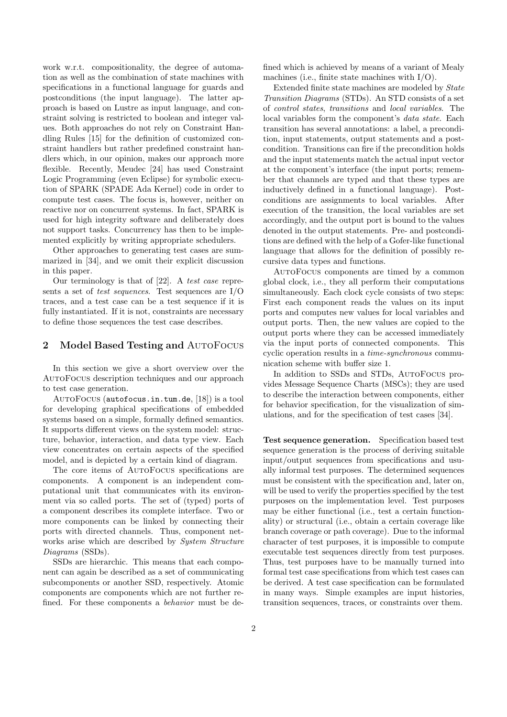work w.r.t. compositionality, the degree of automation as well as the combination of state machines with specifications in a functional language for guards and postconditions (the input language). The latter approach is based on Lustre as input language, and constraint solving is restricted to boolean and integer values. Both approaches do not rely on Constraint Handling Rules [15] for the definition of customized constraint handlers but rather predefined constraint handlers which, in our opinion, makes our approach more flexible. Recently, Meudec [24] has used Constraint Logic Programming (even Eclipse) for symbolic execution of SPARK (SPADE Ada Kernel) code in order to compute test cases. The focus is, however, neither on reactive nor on concurrent systems. In fact, SPARK is used for high integrity software and deliberately does not support tasks. Concurrency has then to be implemented explicitly by writing appropriate schedulers.

Other approaches to generating test cases are summarized in [34], and we omit their explicit discussion in this paper.

Our terminology is that of [22]. A test case represents a set of test sequences. Test sequences are I/O traces, and a test case can be a test sequence if it is fully instantiated. If it is not, constraints are necessary to define those sequences the test case describes.

#### 2 Model Based Testing and AutoFocus

In this section we give a short overview over the AutoFocus description techniques and our approach to test case generation.

AutoFocus (autofocus.in.tum.de, [18]) is a tool for developing graphical specifications of embedded systems based on a simple, formally defined semantics. It supports different views on the system model: structure, behavior, interaction, and data type view. Each view concentrates on certain aspects of the specified model, and is depicted by a certain kind of diagram.

The core items of AutoFocus specifications are components. A component is an independent computational unit that communicates with its environment via so called ports. The set of (typed) ports of a component describes its complete interface. Two or more components can be linked by connecting their ports with directed channels. Thus, component networks arise which are described by *System Structure* Diagrams (SSDs).

SSDs are hierarchic. This means that each component can again be described as a set of communicating subcomponents or another SSD, respectively. Atomic components are components which are not further refined. For these components a behavior must be defined which is achieved by means of a variant of Mealy machines (i.e., finite state machines with I/O).

Extended finite state machines are modeled by State Transition Diagrams (STDs). An STD consists of a set of control states, transitions and local variables. The local variables form the component's data state. Each transition has several annotations: a label, a precondition, input statements, output statements and a postcondition. Transitions can fire if the precondition holds and the input statements match the actual input vector at the component's interface (the input ports; remember that channels are typed and that these types are inductively defined in a functional language). Postconditions are assignments to local variables. After execution of the transition, the local variables are set accordingly, and the output port is bound to the values denoted in the output statements. Pre- and postconditions are defined with the help of a Gofer-like functional language that allows for the definition of possibly recursive data types and functions.

AutoFocus components are timed by a common global clock, i.e., they all perform their computations simultaneously. Each clock cycle consists of two steps: First each component reads the values on its input ports and computes new values for local variables and output ports. Then, the new values are copied to the output ports where they can be accessed immediately via the input ports of connected components. This cyclic operation results in a time-synchronous communication scheme with buffer size 1.

In addition to SSDs and STDs, AutoFocus provides Message Sequence Charts (MSCs); they are used to describe the interaction between components, either for behavior specification, for the visualization of simulations, and for the specification of test cases [34].

Test sequence generation. Specification based test sequence generation is the process of deriving suitable input/output sequences from specifications and usually informal test purposes. The determined sequences must be consistent with the specification and, later on, will be used to verify the properties specified by the test purposes on the implementation level. Test purposes may be either functional (i.e., test a certain functionality) or structural (i.e., obtain a certain coverage like branch coverage or path coverage). Due to the informal character of test purposes, it is impossible to compute executable test sequences directly from test purposes. Thus, test purposes have to be manually turned into formal test case specifications from which test cases can be derived. A test case specification can be formulated in many ways. Simple examples are input histories, transition sequences, traces, or constraints over them.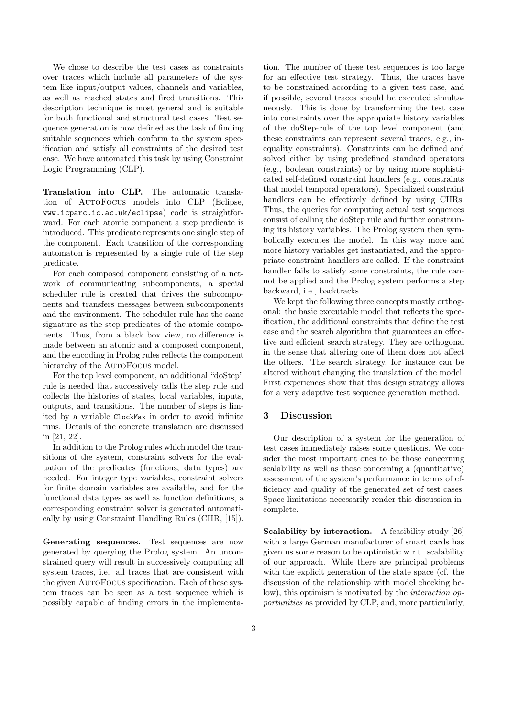We chose to describe the test cases as constraints over traces which include all parameters of the system like input/output values, channels and variables, as well as reached states and fired transitions. This description technique is most general and is suitable for both functional and structural test cases. Test sequence generation is now defined as the task of finding suitable sequences which conform to the system specification and satisfy all constraints of the desired test case. We have automated this task by using Constraint Logic Programming (CLP).

Translation into CLP. The automatic translation of AutoFocus models into CLP (Eclipse, www.icparc.ic.ac.uk/eclipse) code is straightforward. For each atomic component a step predicate is introduced. This predicate represents one single step of the component. Each transition of the corresponding automaton is represented by a single rule of the step predicate.

For each composed component consisting of a network of communicating subcomponents, a special scheduler rule is created that drives the subcomponents and transfers messages between subcomponents and the environment. The scheduler rule has the same signature as the step predicates of the atomic components. Thus, from a black box view, no difference is made between an atomic and a composed component, and the encoding in Prolog rules reflects the component hierarchy of the AutoFocus model.

For the top level component, an additional "doStep" rule is needed that successively calls the step rule and collects the histories of states, local variables, inputs, outputs, and transitions. The number of steps is limited by a variable ClockMax in order to avoid infinite runs. Details of the concrete translation are discussed in [21, 22].

In addition to the Prolog rules which model the transitions of the system, constraint solvers for the evaluation of the predicates (functions, data types) are needed. For integer type variables, constraint solvers for finite domain variables are available, and for the functional data types as well as function definitions, a corresponding constraint solver is generated automatically by using Constraint Handling Rules (CHR, [15]).

Generating sequences. Test sequences are now generated by querying the Prolog system. An unconstrained query will result in successively computing all system traces, i.e. all traces that are consistent with the given AutoFocus specification. Each of these system traces can be seen as a test sequence which is possibly capable of finding errors in the implementation. The number of these test sequences is too large for an effective test strategy. Thus, the traces have to be constrained according to a given test case, and if possible, several traces should be executed simultaneously. This is done by transforming the test case into constraints over the appropriate history variables of the doStep-rule of the top level component (and these constraints can represent several traces, e.g., inequality constraints). Constraints can be defined and solved either by using predefined standard operators (e.g., boolean constraints) or by using more sophisticated self-defined constraint handlers (e.g., constraints that model temporal operators). Specialized constraint handlers can be effectively defined by using CHRs. Thus, the queries for computing actual test sequences consist of calling the doStep rule and further constraining its history variables. The Prolog system then symbolically executes the model. In this way more and more history variables get instantiated, and the appropriate constraint handlers are called. If the constraint handler fails to satisfy some constraints, the rule cannot be applied and the Prolog system performs a step backward, i.e., backtracks.

We kept the following three concepts mostly orthogonal: the basic executable model that reflects the specification, the additional constraints that define the test case and the search algorithm that guarantees an effective and efficient search strategy. They are orthogonal in the sense that altering one of them does not affect the others. The search strategy, for instance can be altered without changing the translation of the model. First experiences show that this design strategy allows for a very adaptive test sequence generation method.

## 3 Discussion

Our description of a system for the generation of test cases immediately raises some questions. We consider the most important ones to be those concerning scalability as well as those concerning a (quantitative) assessment of the system's performance in terms of efficiency and quality of the generated set of test cases. Space limitations necessarily render this discussion incomplete.

Scalability by interaction. A feasibility study [26] with a large German manufacturer of smart cards has given us some reason to be optimistic w.r.t. scalability of our approach. While there are principal problems with the explicit generation of the state space (cf. the discussion of the relationship with model checking below), this optimism is motivated by the *interaction op*portunities as provided by CLP, and, more particularly,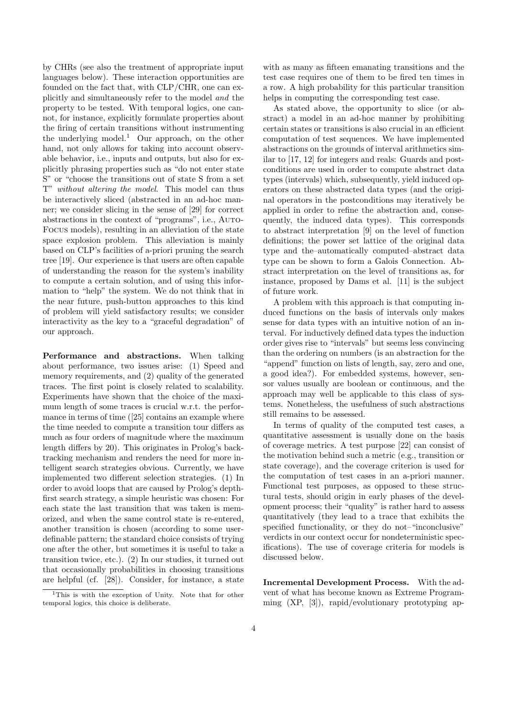by CHRs (see also the treatment of appropriate input languages below). These interaction opportunities are founded on the fact that, with CLP/CHR, one can explicitly and simultaneously refer to the model and the property to be tested. With temporal logics, one cannot, for instance, explicitly formulate properties about the firing of certain transitions without instrumenting the underlying model.<sup>1</sup> Our approach, on the other hand, not only allows for taking into account observable behavior, i.e., inputs and outputs, but also for explicitly phrasing properties such as "do not enter state S" or "choose the transitions out of state S from a set T" without altering the model. This model can thus be interactively sliced (abstracted in an ad-hoc manner; we consider slicing in the sense of [29] for correct abstractions in the context of "programs", i.e., Auto-Focus models), resulting in an alleviation of the state space explosion problem. This alleviation is mainly based on CLP's facilities of a-priori pruning the search tree [19]. Our experience is that users are often capable of understanding the reason for the system's inability to compute a certain solution, and of using this information to "help" the system. We do not think that in the near future, push-button approaches to this kind of problem will yield satisfactory results; we consider interactivity as the key to a "graceful degradation" of our approach.

Performance and abstractions. When talking about performance, two issues arise: (1) Speed and memory requirements, and (2) quality of the generated traces. The first point is closely related to scalability. Experiments have shown that the choice of the maximum length of some traces is crucial w.r.t. the performance in terms of time ([25] contains an example where the time needed to compute a transition tour differs as much as four orders of magnitude where the maximum length differs by 20). This originates in Prolog's backtracking mechanism and renders the need for more intelligent search strategies obvious. Currently, we have implemented two different selection strategies. (1) In order to avoid loops that are caused by Prolog's depthfirst search strategy, a simple heuristic was chosen: For each state the last transition that was taken is memorized, and when the same control state is re-entered, another transition is chosen (according to some userdefinable pattern; the standard choice consists of trying one after the other, but sometimes it is useful to take a transition twice, etc.). (2) In our studies, it turned out that occasionally probabilities in choosing transitions are helpful (cf. [28]). Consider, for instance, a state

with as many as fifteen emanating transitions and the test case requires one of them to be fired ten times in a row. A high probability for this particular transition helps in computing the corresponding test case.

As stated above, the opportunity to slice (or abstract) a model in an ad-hoc manner by prohibiting certain states or transitions is also crucial in an efficient computation of test sequences. We have implemented abstractions on the grounds of interval arithmetics similar to [17, 12] for integers and reals: Guards and postconditions are used in order to compute abstract data types (intervals) which, subsequently, yield induced operators on these abstracted data types (and the original operators in the postconditions may iteratively be applied in order to refine the abstraction and, consequently, the induced data types). This corresponds to abstract interpretation [9] on the level of function definitions; the power set lattice of the original data type and the–automatically computed–abstract data type can be shown to form a Galois Connection. Abstract interpretation on the level of transitions as, for instance, proposed by Dams et al. [11] is the subject of future work.

A problem with this approach is that computing induced functions on the basis of intervals only makes sense for data types with an intuitive notion of an interval. For inductively defined data types the induction order gives rise to "intervals" but seems less convincing than the ordering on numbers (is an abstraction for the "append" function on lists of length, say, zero and one, a good idea?). For embedded systems, however, sensor values usually are boolean or continuous, and the approach may well be applicable to this class of systems. Nonetheless, the usefulness of such abstractions still remains to be assessed.

In terms of quality of the computed test cases, a quantitative assessment is usually done on the basis of coverage metrics. A test purpose [22] can consist of the motivation behind such a metric (e.g., transition or state coverage), and the coverage criterion is used for the computation of test cases in an a-priori manner. Functional test purposes, as opposed to these structural tests, should origin in early phases of the development process; their "quality" is rather hard to assess quantitatively (they lead to a trace that exhibits the specified functionality, or they do not–"inconclusive" verdicts in our context occur for nondeterministic specifications). The use of coverage criteria for models is discussed below.

Incremental Development Process. With the advent of what has become known as Extreme Programming (XP, [3]), rapid/evolutionary prototyping ap-

<sup>&</sup>lt;sup>1</sup>This is with the exception of Unity. Note that for other temporal logics, this choice is deliberate.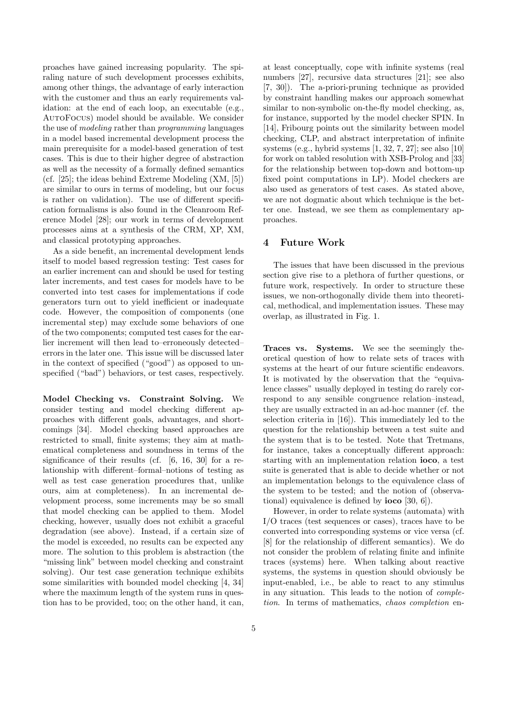proaches have gained increasing popularity. The spiraling nature of such development processes exhibits, among other things, the advantage of early interaction with the customer and thus an early requirements validation: at the end of each loop, an executable (e.g., AutoFocus) model should be available. We consider the use of modeling rather than programming languages in a model based incremental development process the main prerequisite for a model-based generation of test cases. This is due to their higher degree of abstraction as well as the necessity of a formally defined semantics (cf. [25]; the ideas behind Extreme Modeling (XM, [5]) are similar to ours in terms of modeling, but our focus is rather on validation). The use of different specification formalisms is also found in the Cleanroom Reference Model [28]; our work in terms of development processes aims at a synthesis of the CRM, XP, XM, and classical prototyping approaches.

As a side benefit, an incremental development lends itself to model based regression testing: Test cases for an earlier increment can and should be used for testing later increments, and test cases for models have to be converted into test cases for implementations if code generators turn out to yield inefficient or inadequate code. However, the composition of components (one incremental step) may exclude some behaviors of one of the two components; computed test cases for the earlier increment will then lead to–erroneously detected– errors in the later one. This issue will be discussed later in the context of specified ("good") as opposed to unspecified ("bad") behaviors, or test cases, respectively.

Model Checking vs. Constraint Solving. We consider testing and model checking different approaches with different goals, advantages, and shortcomings [34]. Model checking based approaches are restricted to small, finite systems; they aim at mathematical completeness and soundness in terms of the significance of their results (cf. [6, 16, 30] for a relationship with different–formal–notions of testing as well as test case generation procedures that, unlike ours, aim at completeness). In an incremental development process, some increments may be so small that model checking can be applied to them. Model checking, however, usually does not exhibit a graceful degradation (see above). Instead, if a certain size of the model is exceeded, no results can be expected any more. The solution to this problem is abstraction (the "missing link" between model checking and constraint solving). Our test case generation technique exhibits some similarities with bounded model checking [4, 34] where the maximum length of the system runs in question has to be provided, too; on the other hand, it can,

at least conceptually, cope with infinite systems (real numbers [27], recursive data structures [21]; see also [7, 30]). The a-priori-pruning technique as provided by constraint handling makes our approach somewhat similar to non-symbolic on-the-fly model checking, as, for instance, supported by the model checker SPIN. In [14], Fribourg points out the similarity between model checking, CLP, and abstract interpretation of infinite systems (e.g., hybrid systems [1, 32, 7, 27]; see also [10] for work on tabled resolution with XSB-Prolog and [33] for the relationship between top-down and bottom-up fixed point computations in LP). Model checkers are also used as generators of test cases. As stated above, we are not dogmatic about which technique is the better one. Instead, we see them as complementary approaches.

#### 4 Future Work

The issues that have been discussed in the previous section give rise to a plethora of further questions, or future work, respectively. In order to structure these issues, we non-orthogonally divide them into theoretical, methodical, and implementation issues. These may overlap, as illustrated in Fig. 1.

Traces vs. Systems. We see the seemingly theoretical question of how to relate sets of traces with systems at the heart of our future scientific endeavors. It is motivated by the observation that the "equivalence classes" usually deployed in testing do rarely correspond to any sensible congruence relation–instead, they are usually extracted in an ad-hoc manner (cf. the selection criteria in [16]). This immediately led to the question for the relationship between a test suite and the system that is to be tested. Note that Tretmans, for instance, takes a conceptually different approach: starting with an implementation relation ioco, a test suite is generated that is able to decide whether or not an implementation belongs to the equivalence class of the system to be tested; and the notion of (observational) equivalence is defined by **ioco** [30, 6]).

However, in order to relate systems (automata) with I/O traces (test sequences or cases), traces have to be converted into corresponding systems or vice versa (cf. [8] for the relationship of different semantics). We do not consider the problem of relating finite and infinite traces (systems) here. When talking about reactive systems, the systems in question should obviously be input-enabled, i.e., be able to react to any stimulus in any situation. This leads to the notion of completion. In terms of mathematics, chaos completion en-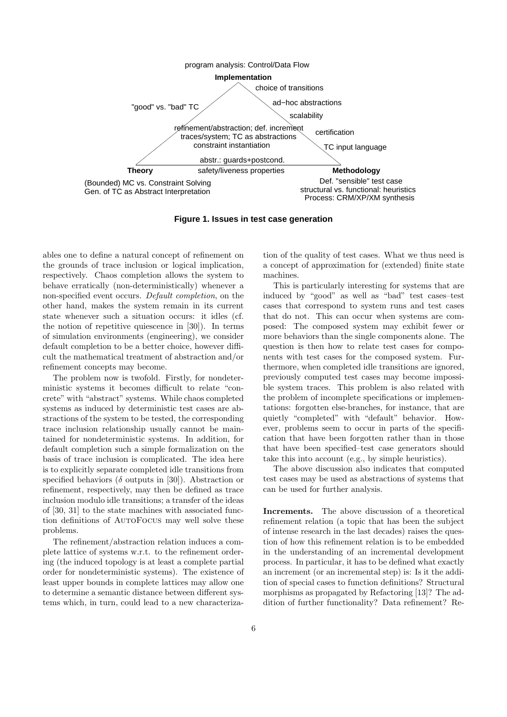

**Figure 1. Issues in test case generation**

ables one to define a natural concept of refinement on the grounds of trace inclusion or logical implication, respectively. Chaos completion allows the system to behave erratically (non-deterministically) whenever a non-specified event occurs. Default completion, on the other hand, makes the system remain in its current state whenever such a situation occurs: it idles (cf. the notion of repetitive quiescence in [30]). In terms of simulation environments (engineering), we consider default completion to be a better choice, however difficult the mathematical treatment of abstraction and/or refinement concepts may become.

The problem now is twofold. Firstly, for nondeterministic systems it becomes difficult to relate "concrete" with "abstract" systems. While chaos completed systems as induced by deterministic test cases are abstractions of the system to be tested, the corresponding trace inclusion relationship usually cannot be maintained for nondeterministic systems. In addition, for default completion such a simple formalization on the basis of trace inclusion is complicated. The idea here is to explicitly separate completed idle transitions from specified behaviors ( $\delta$  outputs in [30]). Abstraction or refinement, respectively, may then be defined as trace inclusion modulo idle transitions; a transfer of the ideas of [30, 31] to the state machines with associated function definitions of AutoFocus may well solve these problems.

The refinement/abstraction relation induces a complete lattice of systems w.r.t. to the refinement ordering (the induced topology is at least a complete partial order for nondeterministic systems). The existence of least upper bounds in complete lattices may allow one to determine a semantic distance between different systems which, in turn, could lead to a new characterization of the quality of test cases. What we thus need is a concept of approximation for (extended) finite state machines.

This is particularly interesting for systems that are induced by "good" as well as "bad" test cases–test cases that correspond to system runs and test cases that do not. This can occur when systems are composed: The composed system may exhibit fewer or more behaviors than the single components alone. The question is then how to relate test cases for components with test cases for the composed system. Furthermore, when completed idle transitions are ignored, previously computed test cases may become impossible system traces. This problem is also related with the problem of incomplete specifications or implementations: forgotten else-branches, for instance, that are quietly "completed" with "default" behavior. However, problems seem to occur in parts of the specification that have been forgotten rather than in those that have been specified–test case generators should take this into account (e.g., by simple heuristics).

The above discussion also indicates that computed test cases may be used as abstractions of systems that can be used for further analysis.

Increments. The above discussion of a theoretical refinement relation (a topic that has been the subject of intense research in the last decades) raises the question of how this refinement relation is to be embedded in the understanding of an incremental development process. In particular, it has to be defined what exactly an increment (or an incremental step) is: Is it the addition of special cases to function definitions? Structural morphisms as propagated by Refactoring [13]? The addition of further functionality? Data refinement? Re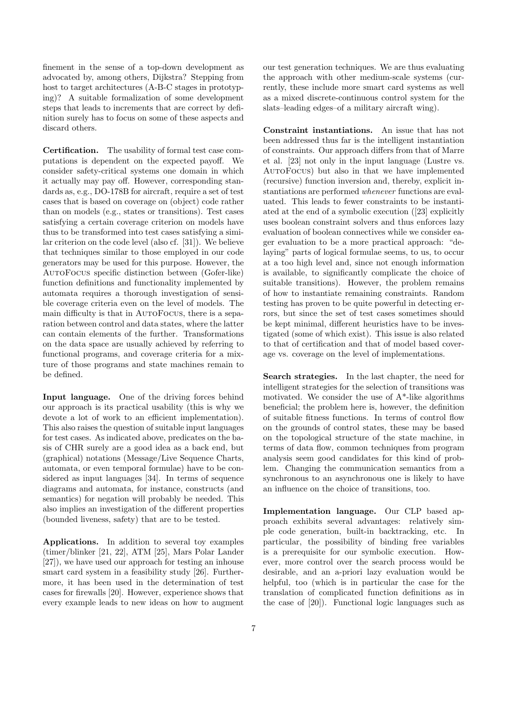finement in the sense of a top-down development as advocated by, among others, Dijkstra? Stepping from host to target architectures (A-B-C stages in prototyping)? A suitable formalization of some development steps that leads to increments that are correct by definition surely has to focus on some of these aspects and discard others.

Certification. The usability of formal test case computations is dependent on the expected payoff. We consider safety-critical systems one domain in which it actually may pay off. However, corresponding standards as, e.g., DO-178B for aircraft, require a set of test cases that is based on coverage on (object) code rather than on models (e.g., states or transitions). Test cases satisfying a certain coverage criterion on models have thus to be transformed into test cases satisfying a similar criterion on the code level (also cf. [31]). We believe that techniques similar to those employed in our code generators may be used for this purpose. However, the AutoFocus specific distinction between (Gofer-like) function definitions and functionality implemented by automata requires a thorough investigation of sensible coverage criteria even on the level of models. The main difficulty is that in AutoFocus, there is a separation between control and data states, where the latter can contain elements of the further. Transformations on the data space are usually achieved by referring to functional programs, and coverage criteria for a mixture of those programs and state machines remain to be defined.

Input language. One of the driving forces behind our approach is its practical usability (this is why we devote a lot of work to an efficient implementation). This also raises the question of suitable input languages for test cases. As indicated above, predicates on the basis of CHR surely are a good idea as a back end, but (graphical) notations (Message/Live Sequence Charts, automata, or even temporal formulae) have to be considered as input languages [34]. In terms of sequence diagrams and automata, for instance, constructs (and semantics) for negation will probably be needed. This also implies an investigation of the different properties (bounded liveness, safety) that are to be tested.

Applications. In addition to several toy examples (timer/blinker [21, 22], ATM [25], Mars Polar Lander [27]), we have used our approach for testing an inhouse smart card system in a feasibility study [26]. Furthermore, it has been used in the determination of test cases for firewalls [20]. However, experience shows that every example leads to new ideas on how to augment

our test generation techniques. We are thus evaluating the approach with other medium-scale systems (currently, these include more smart card systems as well as a mixed discrete-continuous control system for the slats–leading edges–of a military aircraft wing).

Constraint instantiations. An issue that has not been addressed thus far is the intelligent instantiation of constraints. Our approach differs from that of Marre et al. [23] not only in the input language (Lustre vs. AutoFocus) but also in that we have implemented (recursive) function inversion and, thereby, explicit instantiations are performed whenever functions are evaluated. This leads to fewer constraints to be instantiated at the end of a symbolic execution ([23] explicitly uses boolean constraint solvers and thus enforces lazy evaluation of boolean connectives while we consider eager evaluation to be a more practical approach: "delaying" parts of logical formulae seems, to us, to occur at a too high level and, since not enough information is available, to significantly complicate the choice of suitable transitions). However, the problem remains of how to instantiate remaining constraints. Random testing has proven to be quite powerful in detecting errors, but since the set of test cases sometimes should be kept minimal, different heuristics have to be investigated (some of which exist). This issue is also related to that of certification and that of model based coverage vs. coverage on the level of implementations.

Search strategies. In the last chapter, the need for intelligent strategies for the selection of transitions was motivated. We consider the use of A\*-like algorithms beneficial; the problem here is, however, the definition of suitable fitness functions. In terms of control flow on the grounds of control states, these may be based on the topological structure of the state machine, in terms of data flow, common techniques from program analysis seem good candidates for this kind of problem. Changing the communication semantics from a synchronous to an asynchronous one is likely to have an influence on the choice of transitions, too.

Implementation language. Our CLP based approach exhibits several advantages: relatively simple code generation, built-in backtracking, etc. In particular, the possibility of binding free variables is a prerequisite for our symbolic execution. However, more control over the search process would be desirable, and an a-priori lazy evaluation would be helpful, too (which is in particular the case for the translation of complicated function definitions as in the case of [20]). Functional logic languages such as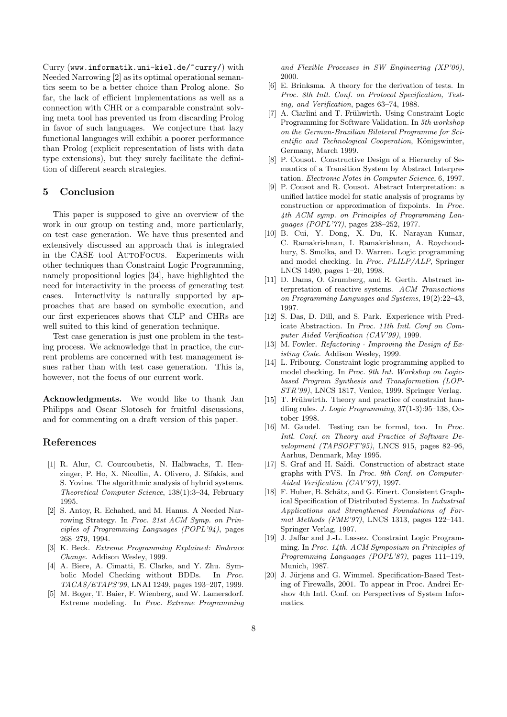Curry (www.informatik.uni-kiel.de/~curry/) with Needed Narrowing [2] as its optimal operational semantics seem to be a better choice than Prolog alone. So far, the lack of efficient implementations as well as a connection with CHR or a comparable constraint solving meta tool has prevented us from discarding Prolog in favor of such languages. We conjecture that lazy functional languages will exhibit a poorer performance than Prolog (explicit representation of lists with data type extensions), but they surely facilitate the definition of different search strategies.

# 5 Conclusion

This paper is supposed to give an overview of the work in our group on testing and, more particularly, on test case generation. We have thus presented and extensively discussed an approach that is integrated in the CASE tool AutoFocus. Experiments with other techniques than Constraint Logic Programming, namely propositional logics [34], have highlighted the need for interactivity in the process of generating test cases. Interactivity is naturally supported by approaches that are based on symbolic execution, and our first experiences shows that CLP and CHRs are well suited to this kind of generation technique.

Test case generation is just one problem in the testing process. We acknowledge that in practice, the current problems are concerned with test management issues rather than with test case generation. This is, however, not the focus of our current work.

Acknowledgments. We would like to thank Jan Philipps and Oscar Slotosch for fruitful discussions, and for commenting on a draft version of this paper.

# References

- [1] R. Alur, C. Courcoubetis, N. Halbwachs, T. Henzinger, P. Ho, X. Nicollin, A. Olivero, J. Sifakis, and S. Yovine. The algorithmic analysis of hybrid systems. Theoretical Computer Science, 138(1):3–34, February 1995.
- [2] S. Antoy, R. Echahed, and M. Hanus. A Needed Narrowing Strategy. In Proc. 21st ACM Symp. on Principles of Programming Languages (POPL'94), pages 268–279, 1994.
- [3] K. Beck. Extreme Programming Explained: Embrace Change. Addison Wesley, 1999.
- [4] A. Biere, A. Cimatti, E. Clarke, and Y. Zhu. Symbolic Model Checking without BDDs. In Proc. TACAS/ETAPS'99, LNAI 1249, pages 193–207, 1999.
- [5] M. Boger, T. Baier, F. Wienberg, and W. Lamersdorf. Extreme modeling. In Proc. Extreme Programming

and Flexible Processes in SW Engineering (XP'00), 2000.

- [6] E. Brinksma. A theory for the derivation of tests. In Proc. 8th Intl. Conf. on Protocol Specification, Testing, and Verification, pages 63–74, 1988.
- [7] A. Ciarlini and T. Frühwirth. Using Constraint Logic Programming for Software Validation. In 5th workshop on the German-Brazilian Bilateral Programme for Scientific and Technological Cooperation, Königswinter, Germany, March 1999.
- [8] P. Cousot. Constructive Design of a Hierarchy of Semantics of a Transition System by Abstract Interpretation. Electronic Notes in Computer Science, 6, 1997.
- [9] P. Cousot and R. Cousot. Abstract Interpretation: a unified lattice model for static analysis of programs by construction or approximation of fixpoints. In Proc. 4th ACM symp. on Principles of Programming Languages (POPL'77), pages 238–252, 1977.
- [10] B. Cui, Y. Dong, X. Du, K. Narayan Kumar, C. Ramakrishnan, I. Ramakrishnan, A. Roychoudhury, S. Smolka, and D. Warren. Logic programming and model checking. In Proc. PLILP/ALP, Springer LNCS 1490, pages 1–20, 1998.
- [11] D. Dams, O. Grumberg, and R. Gerth. Abstract interpretation of reactive systems. ACM Transactions on Programming Languages and Systems, 19(2):22–43, 1997.
- [12] S. Das, D. Dill, and S. Park. Experience with Predicate Abstraction. In Proc. 11th Intl. Conf on Computer Aided Verification (CAV'99), 1999.
- [13] M. Fowler. *Refactoring Improving the Design of Ex*isting Code. Addison Wesley, 1999.
- [14] L. Fribourg. Constraint logic programming applied to model checking. In Proc. 9th Int. Workshop on Logicbased Program Synthesis and Transformation (LOP-STR'99), LNCS 1817, Venice, 1999. Springer Verlag.
- [15] T. Frühwirth. Theory and practice of constraint handling rules. J. Logic Programming, 37(1-3):95–138, October 1998.
- [16] M. Gaudel. Testing can be formal, too. In Proc. Intl. Conf. on Theory and Practice of Software Development (TAPSOFT'95), LNCS 915, pages 82–96, Aarhus, Denmark, May 1995.
- [17] S. Graf and H. Saïdi. Construction of abstract state graphs with PVS. In Proc. 9th Conf. on Computer-Aided Verification (CAV'97), 1997.
- [18] F. Huber, B. Schätz, and G. Einert. Consistent Graphical Specification of Distributed Systems. In Industrial Applications and Strengthened Foundations of Formal Methods (FME'97), LNCS 1313, pages 122–141. Springer Verlag, 1997.
- [19] J. Jaffar and J.-L. Lassez. Constraint Logic Programming. In Proc. 14th. ACM Symposium on Principles of Programming Languages (POPL'87), pages 111–119, Munich, 1987.
- [20] J. Jürjens and G. Wimmel. Specification-Based Testing of Firewalls, 2001. To appear in Proc. Andrei Ershov 4th Intl. Conf. on Perspectives of System Informatics.